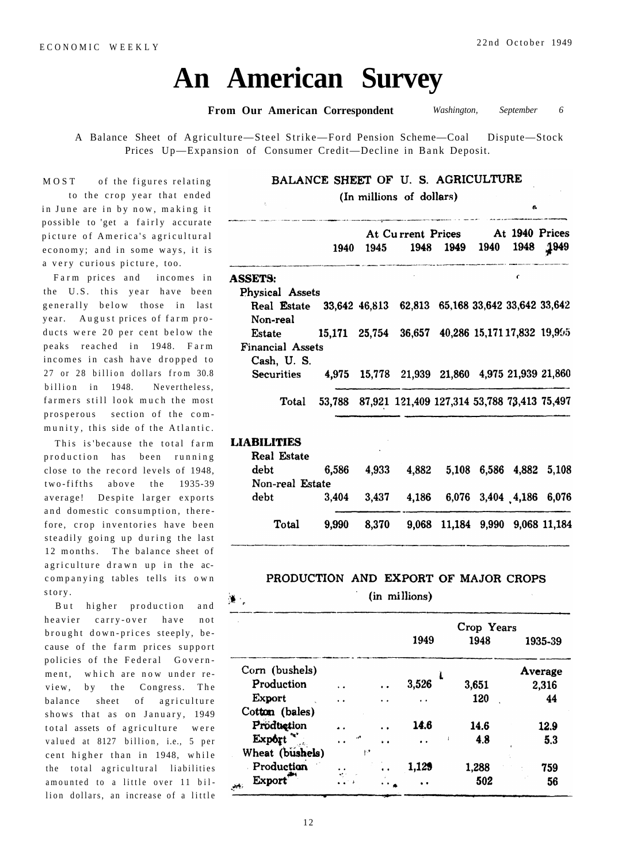# **An American Survey**

**From Our American Correspondent** *Washington, September 6* 

A Balance Sheet of Agriculture—Steel Strike—Ford Pension Scheme—Coal Dispute—Stock Prices Up—Expansion of Consumer Credit—Decline in Bank Deposit.

## BALANCE SHEET OF U. S. AGRICULTURE

(In millions of dollars)

|                         |      |      | At Current Prices                                  |           |      | At 1940 Prices |      |
|-------------------------|------|------|----------------------------------------------------|-----------|------|----------------|------|
|                         | 1940 | 1945 |                                                    | 1948 1949 | 1940 | 1948           | 1949 |
| <b>ASSETS:</b>          |      |      |                                                    |           |      | C              |      |
| Physical Assets         |      |      |                                                    |           |      |                |      |
| Real Estate             |      |      | 33,642 46,813 62,813 65,168 33,642 33,642 33,642   |           |      |                |      |
| Non-real                |      |      |                                                    |           |      |                |      |
| Estate                  |      |      | 15,171 25,754 36,657 40,286 15,171 17,832 19,905   |           |      |                |      |
| <b>Financial Assets</b> |      |      |                                                    |           |      |                |      |
| Cash, U.S.              |      |      |                                                    |           |      |                |      |
| <b>Securities</b>       |      |      | 4,975 15,778 21,939 21,860 4,975 21,939 21,860     |           |      |                |      |
| Total                   |      |      | 53,788 87,921 121,409 127,314 53,788 73,413 75,497 |           |      |                |      |
|                         |      |      |                                                    |           |      |                |      |
| <b>LIABILITIES</b>      |      |      |                                                    |           |      |                |      |

| Total              | 9,990 | 8,370                | 9,068 11,184 9,990 9,068 11,184     |  |  |
|--------------------|-------|----------------------|-------------------------------------|--|--|
| debt               | 3.404 |                      | 3,437 4,186 6,076 3,404 4,186 6,076 |  |  |
| Non-real Estate    |       |                      |                                     |  |  |
| debt               | 6,586 |                      | 4,933 4,882 5,108 6,586 4,882 5,108 |  |  |
| <b>Real Estate</b> |       | $\ddot{\phantom{1}}$ |                                     |  |  |
| ектрівная          |       |                      |                                     |  |  |

#### PRODUCTION AND EXPORT OF MAJOR CROPS

(in millions)

|                                             |     |                | Crop Years |       |         |  |
|---------------------------------------------|-----|----------------|------------|-------|---------|--|
|                                             |     |                | 1949       | 1948  | 1935-39 |  |
| Corn (bushels)                              |     |                | Ł          |       | Average |  |
| Production                                  |     |                | 3,526      | 3,651 | 2,316   |  |
| <b>Export</b>                               | . . | . .            | . .        | 120   | 44      |  |
| Cotton (bales)                              |     |                |            |       |         |  |
| Production                                  |     |                | 14.6       | 14.6  | 12.9    |  |
| Export                                      | وم. | $\mathbf{v}$ . |            | 4.8   | 5.3     |  |
| Wheat (bushels)                             | ۳۲  |                |            |       |         |  |
| Production                                  |     |                | 1,129      | 1,288 | 759     |  |
| <b>Export</b><br>$\mathcal{O}(\mathcal{P})$ |     |                |            | 502   | 56      |  |

MOST of the figures relating to the crop year that ended in June are in by now, making possible to 'get a fairly accura picture of America's agricultur economy; and in some ways, it a very curious picture, too.

Farm prices and incomes the U.S. this year have be generally below those in la year. August prices of farm pr ducts were 20 per cent below t peaks reached in 1948. Fa incomes in cash have dropped 27 or 28 billion dollars from 3 billion in 1948. Neverthele farmers still look much the mo prosperous section of the co munity, this side of the Atlant

This is because the total fa production has been running close to the record levels of 1948, two-fifths above the 1935-39 average! Despite larger exports and domestic consumption, therefore, crop inventories have been steadily going up during the last 12 months. The balance sheet of agriculture drawn up in the accompanying tables tells its own story .

But higher production and heavier carry-over have not brought down-prices steeply, because of the farm prices support policies of the Federal Government, which are now under review, by the Congress. The balance sheet of agriculture shows that as on January, 1949 total assets of agriculture were valued at 8127 billion, i.e., 5 per cent higher than in 1948, while the total agricultural liabilities amounted to a little over 11 billion dollars, an increase of a little 说: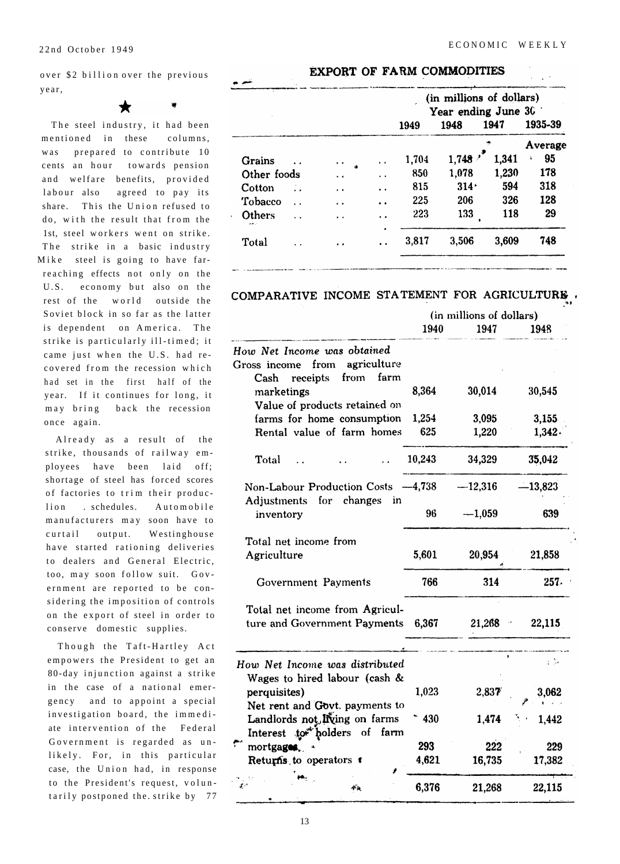over \$2 billion over the previous year,

The steel industry, it had been mentioned in these columns, was prepared to contribute 10 cents an hour towards pension and welfare benefits, provided labour also agreed to pay its share. This the Union refused to do, with the result that from the 1st, steel workers went on strike. The strike in a basic industry Mike steel is going to have farreaching effects not only on the U.S. economy but also on the rest of the world outside the Soviet block in so far as the latter is dependent on America. The strike is particularly ill-timed; it came just when the U.S. had recovered from the recession which had set in the first half of the year. If it continues for long, it may bring back the recession once again.

Already as a result of the strike, thousands of railway employees have been laid off; shortage of steel has forced scores of factories to trim their produclion . schedules. Automobile manufacturers may soon have to curtail output. Westinghouse have started rationing deliveries to dealers and General Electric, too, may soon follow suit. Government are reported to be considering the imposition of controls on the export of steel in order to conserve domestic supplies.

Though the Taft-Hartley Act empowers the President to get an 80-day injunction against a strike in the case of a national emergency and to appoint a special investigation board, the immediate intervention of the Federal Government is regarded as unlikely. For, in this particular case, the Union had, in response to the President's request, voluntarily postponed the strike by 77

#### EXPORT OF FARM COMMODITIES

|                                 |                      |                      | (in millions of dollars)<br>Year ending June $302$ |         |       |          |  |
|---------------------------------|----------------------|----------------------|----------------------------------------------------|---------|-------|----------|--|
|                                 |                      |                      | 1949                                               | 1948    | 1947  | 1935-39  |  |
|                                 |                      |                      |                                                    |         |       | Average  |  |
| Grains                          | $\cdot$ $\cdot$      | $\ddot{\bullet}$     | 1,704                                              | 1,748   | 1,341 | 95<br>à. |  |
| Other foods                     | $\ddot{\phantom{1}}$ | $\ddot{\phantom{0}}$ | 850                                                | 1,078   | 1,230 | 178      |  |
| Cotton                          | $\cdot$ $\cdot$      | $\ddot{\phantom{1}}$ | 815                                                | $314 -$ | 594   | 318      |  |
| Tobacco<br>$\ddot{\phantom{a}}$ | . .                  | $\ddot{\bullet}$     | 225                                                | 206     | 326   | 128      |  |
| Others<br>والأما                | ÷.                   | $\ddot{\phantom{1}}$ | 223                                                | 133     | 118   | 29       |  |
| Total                           |                      | ٠                    | 3,817                                              | 3,506   | 3,609 | 748      |  |

### COMPARATIVE INCOME STATEMENT FOR AGRICULTURE.

|                                                                        | (in millions of dollars) |           |           |  |
|------------------------------------------------------------------------|--------------------------|-----------|-----------|--|
|                                                                        | 1940                     | 1947      | 1948      |  |
| How Net Income was obtained                                            |                          |           |           |  |
| agriculture<br>from<br>Gross income                                    |                          |           |           |  |
| farm<br>receipts<br>from<br>$\operatorname{Cash}$                      |                          |           |           |  |
| marketings                                                             | 8,364                    | 30,014    | 30,545    |  |
| Value of products retained on                                          |                          |           |           |  |
| farms for home consumption                                             | 1,254                    | 3,095     | 3,155     |  |
| Rental value of farm homes                                             | 625                      | 1,220     | 1,342.    |  |
| Total                                                                  | 10,243                   | 34,329    | 35,042    |  |
| Non-Labour Production Costs -4,738<br>for changes<br>Adjustments<br>in |                          | $-12,316$ | $-13,823$ |  |
| inventory                                                              | 96                       | $-1,059$  | 639       |  |
| Total net income from                                                  |                          |           |           |  |
| Agriculture                                                            | 5,601                    | 20,954    | 21,858    |  |
| Government Payments                                                    | 766                      | 314       | 257.      |  |
| Total net income from Agricul-                                         |                          |           |           |  |
| ture and Government Payments                                           | 6,367                    | 21,268    | 22,115    |  |
| How Net Income was distributed                                         |                          |           | i D       |  |
| Wages to hired labour (cash &                                          |                          |           |           |  |
| perquisites)                                                           | 1,023                    | 2,837     | 3,062     |  |
| Net rent and Govt. payments to                                         |                          |           |           |  |
| Landlords not living on farms                                          | * 430                    | 1,474     | 1,442     |  |
| Interest to bolders of farm                                            |                          |           |           |  |
| mortgages.                                                             | 293                      | 222       | 229       |  |
| Returns to operators t                                                 | 4,621                    | 16,735    | 17,382    |  |
|                                                                        | 6,376                    | 21,268    | 22,115    |  |